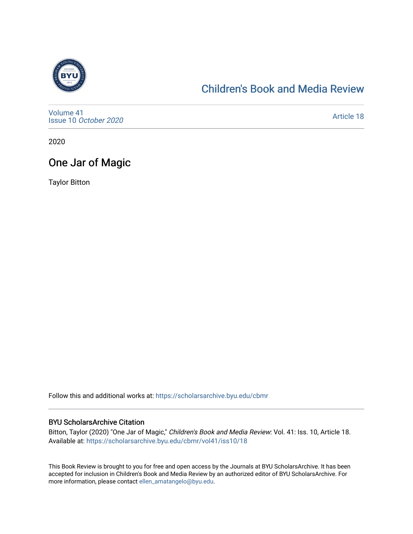

## [Children's Book and Media Review](https://scholarsarchive.byu.edu/cbmr)

[Volume 41](https://scholarsarchive.byu.edu/cbmr/vol41) Issue 10 [October 2020](https://scholarsarchive.byu.edu/cbmr/vol41/iss10)

[Article 18](https://scholarsarchive.byu.edu/cbmr/vol41/iss10/18) 

2020

## One Jar of Magic

Taylor Bitton

Follow this and additional works at: [https://scholarsarchive.byu.edu/cbmr](https://scholarsarchive.byu.edu/cbmr?utm_source=scholarsarchive.byu.edu%2Fcbmr%2Fvol41%2Fiss10%2F18&utm_medium=PDF&utm_campaign=PDFCoverPages) 

#### BYU ScholarsArchive Citation

Bitton, Taylor (2020) "One Jar of Magic," Children's Book and Media Review: Vol. 41: Iss. 10, Article 18. Available at: [https://scholarsarchive.byu.edu/cbmr/vol41/iss10/18](https://scholarsarchive.byu.edu/cbmr/vol41/iss10/18?utm_source=scholarsarchive.byu.edu%2Fcbmr%2Fvol41%2Fiss10%2F18&utm_medium=PDF&utm_campaign=PDFCoverPages) 

This Book Review is brought to you for free and open access by the Journals at BYU ScholarsArchive. It has been accepted for inclusion in Children's Book and Media Review by an authorized editor of BYU ScholarsArchive. For more information, please contact [ellen\\_amatangelo@byu.edu.](mailto:ellen_amatangelo@byu.edu)